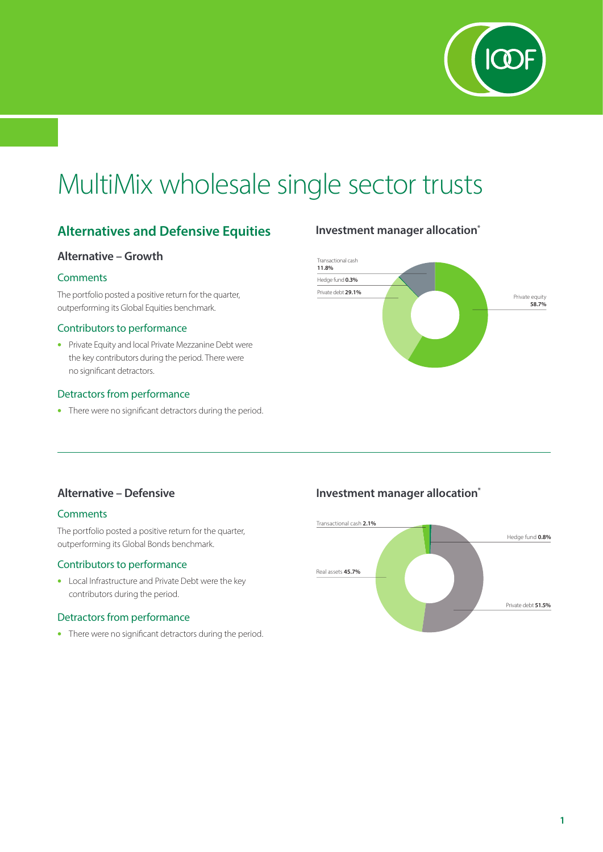

# MultiMix wholesale single sector trusts

## **Alternatives and Defensive Equities**

#### **Alternative – Growth**

#### **Comments**

The portfolio posted a positive return for the quarter, outperforming its Global Equities benchmark.

#### Contributors to performance

• Private Equity and local Private Mezzanine Debt were the key contributors during the period. There were no significant detractors.

#### Detractors from performance

• There were no significant detractors during the period.

## **Investment manager allocation\***



### **Alternative – Defensive**

#### **Comments**

The portfolio posted a positive return for the quarter, outperforming its Global Bonds benchmark.

#### Contributors to performance

• Local Infrastructure and Private Debt were the key contributors during the period.

#### Detractors from performance

• There were no significant detractors during the period.

## **Investment manager allocation\***